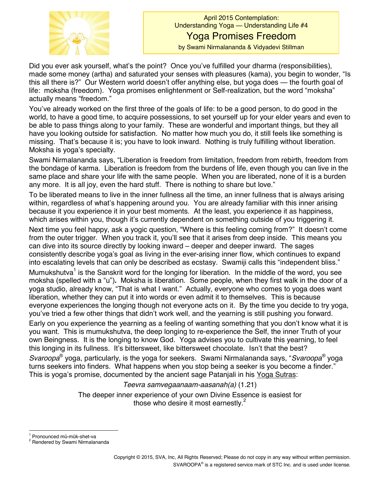

Did you ever ask yourself, what's the point? Once you've fulfilled your dharma (responsibilities), made some money (artha) and saturated your senses with pleasures (kama), you begin to wonder, "Is this all there is?" Our Western world doesn't offer anything else, but yoga does — the fourth goal of life: moksha (freedom). Yoga promises enlightenment or Self-realization, but the word "moksha" actually means "freedom."

You've already worked on the first three of the goals of life: to be a good person, to do good in the world, to have a good time, to acquire possessions, to set yourself up for your elder years and even to be able to pass things along to your family. These are wonderful and important things, but they all have you looking outside for satisfaction. No matter how much you do, it still feels like something is missing. That's because it is; you have to look inward. Nothing is truly fulfilling without liberation. Moksha is yoga's specialty.

Swami Nirmalananda says, "Liberation is freedom from limitation, freedom from rebirth, freedom from the bondage of karma. Liberation is freedom from the burdens of life, even though you can live in the same place and share your life with the same people. When you are liberated, none of it is a burden any more. It is all joy, even the hard stuff. There is nothing to share but love."

To be liberated means to live in the inner fullness all the time, an inner fullness that is always arising within, regardless of what's happening around you. You are already familiar with this inner arising because it you experience it in your best moments. At the least, you experience it as happiness, which arises within you, though it's currently dependent on something outside of you triggering it.

Next time you feel happy, ask a yogic question, "Where is this feeling coming from?" It doesn't come from the outer trigger. When you track it, you'll see that it arises from deep inside. This means you can dive into its source directly by looking inward – deeper and deeper inward. The sages consistently describe yoga's goal as living in the ever-arising inner flow, which continues to expand into escalating levels that can only be described as ecstasy. Swamiji calls this "independent bliss."

Mumukshutva<sup>1</sup> is the Sanskrit word for the longing for liberation. In the middle of the word, you see moksha (spelled with a "u"). Moksha is liberation. Some people, when they first walk in the door of a yoga studio, already know, "That is what I want." Actually, everyone who comes to yoga does want liberation, whether they can put it into words or even admit it to themselves. This is because everyone experiences the longing though not everyone acts on it. By the time you decide to try yoga, you've tried a few other things that didn't work well, and the yearning is still pushing you forward.

Early on you experience the yearning as a feeling of wanting something that you don't know what it is you want. This is mumukshutva, the deep longing to re-experience the Self, the inner Truth of your own Beingness. It is the longing to know God. Yoga advises you to cultivate this yearning, to feel this longing in its fullness. It's bittersweet, like bittersweet chocolate. Isn't that the best?

*Svaroopa*<sup>®</sup> yoga, particularly, is the yoga for seekers. Swami Nirmalananda says, "*Svaroopa*<sup>®</sup> yoga turns seekers into finders. What happens when you stop being a seeker is you become a finder." This is yoga's promise, documented by the ancient sage Patanjali in his Yoga Sutras:

## *Teevra samvegaanaam-aasanah(a)* (1.21)

The deeper inner experience of your own Divine Essence is easiest for those who desire it most earnestly.<sup>2</sup>

<sup>&</sup>lt;sup>1</sup> Pronounced mŭ-mŭk-shet-va<br><sup>2</sup> Rendered by Swami Nirmalananda